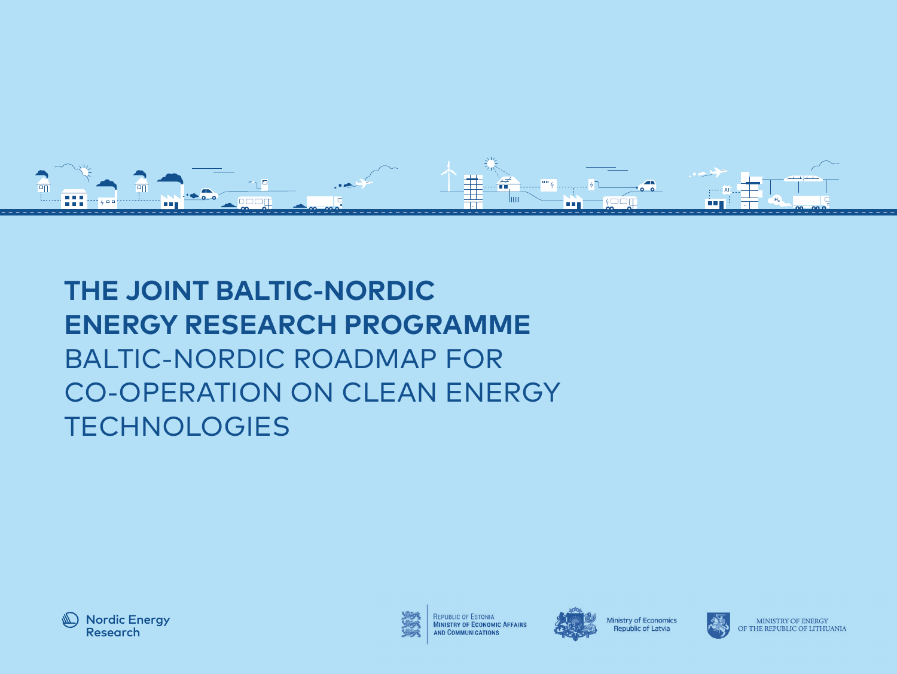

**THE JOINT BALTIC-NORDIC**  AI**ENERGY RESEARCH PROGRAMME** BALTIC-NORDIC ROADMAP FOR CO-OPERATION ON CLEAN ENERGY **TECHNOLOGIES** 



REPUBLIC OF ESTONIA **MINISTRY OF ECONOMIC AFFAIRS AND COMMUNICATIONS** 



Ministry of Economics Republic of Latvia



MINISTRY OF ENERGY OF THE REPUBLIC OF LITHUANIA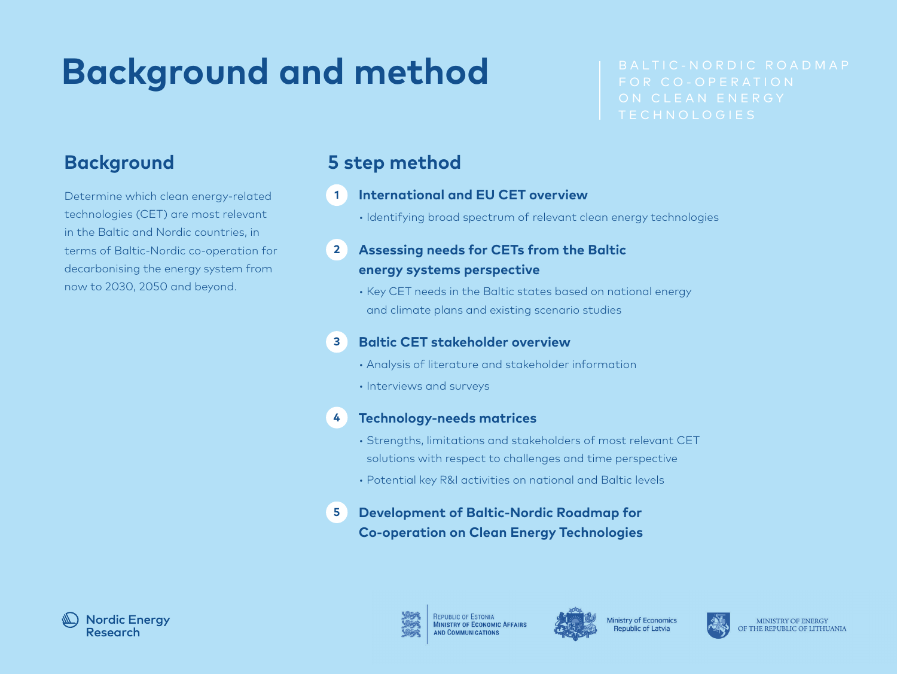# **Background and method**

Determine which clean energy-related technologies (CET) are most relevant in the Baltic and Nordic countries, in terms of Baltic-Nordic co-operation for decarbonising the energy system from now to 2030, 2050 and beyond.

## **Background 5 step method**

#### **International and EU CET overview 1**

• Identifying broad spectrum of relevant clean energy technologies

#### **Assessing needs for CETs from the Baltic energy systems perspective 2**

• Key CET needs in the Baltic states based on national energy and climate plans and existing scenario studies

#### **Baltic CET stakeholder overview 3**

- Analysis of literature and stakeholder information
- Interviews and surveys

#### **Technology-needs matrices 4**

- Strengths, limitations and stakeholders of most relevant CET solutions with respect to challenges and time perspective
- Potential key R&I activities on national and Baltic levels
- **Development of Baltic-Nordic Roadmap for Co-operation on Clean Energy Technologies 5**







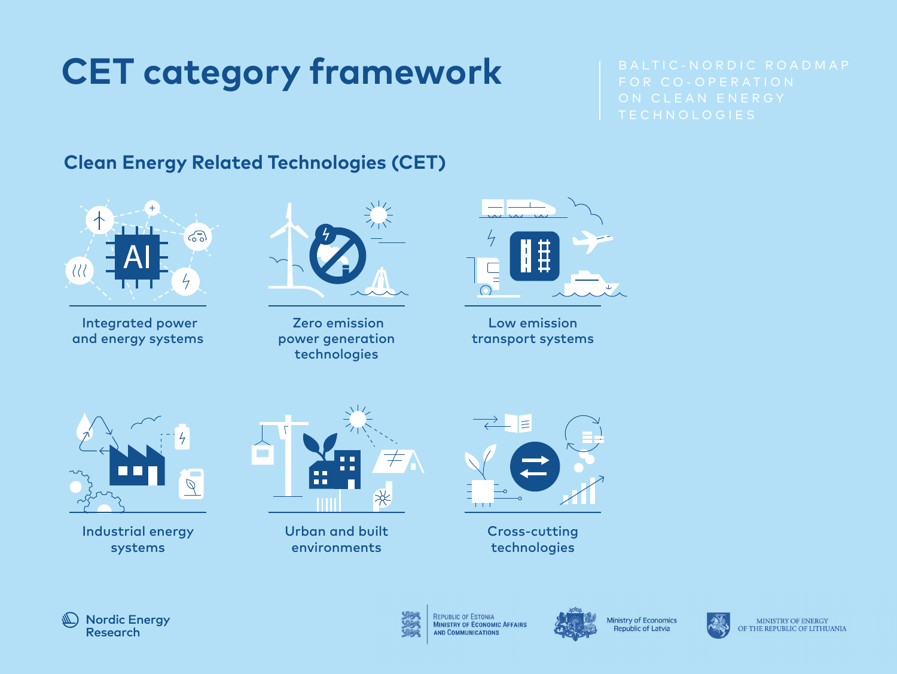# **CET category framework**

# **Clean Energy Related Technologies (CET)**



 Integrated power and energy systems



 Zero emission power generation technologies



Low emission transport systems



Industrial energy systems



Urban and built environments



Cross-cutting technologies





REPUBLIC OF ESTONIA **MINISTRY OF ECONOMIC AFFAIRS** AND COMMUNICATIONS



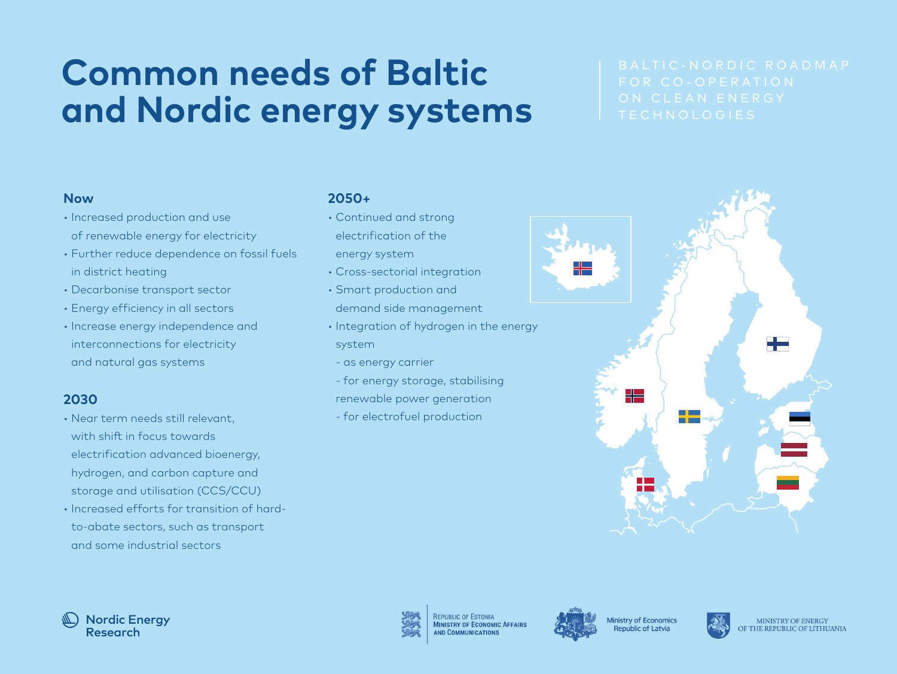# **Common needs of Baltic and Nordic energy systems**

#### **Now**

- Increased production and use of renewable energy for electricity
- Further reduce dependence on fossil fuels in district heating
- Decarbonise transport sector
- Energy efficiency in all sectors
- Increase energy independence and interconnections for electricity and natural gas systems

### **2030**

- Near term needs still relevant, with shift in focus towards electrification advanced bioenergy, hydrogen, and carbon capture and storage and utilisation (CCS/CCU)
- Increased efforts for transition of hardto-abate sectors, such as transport and some industrial sectors

### **2050+**

- Continued and strong electrification of the energy system
- Cross-sectorial integration
- Smart production and demand side management
- Integration of hydrogen in the energy system
	- as energy carrier
	- for energy storage, stabilising
- renewable power generation
- for electrofuel production







**REPUBLIC OF ESTONIA MINISTRY OF ECONOMIC AFFAIRS ND COMMUNICATION** 



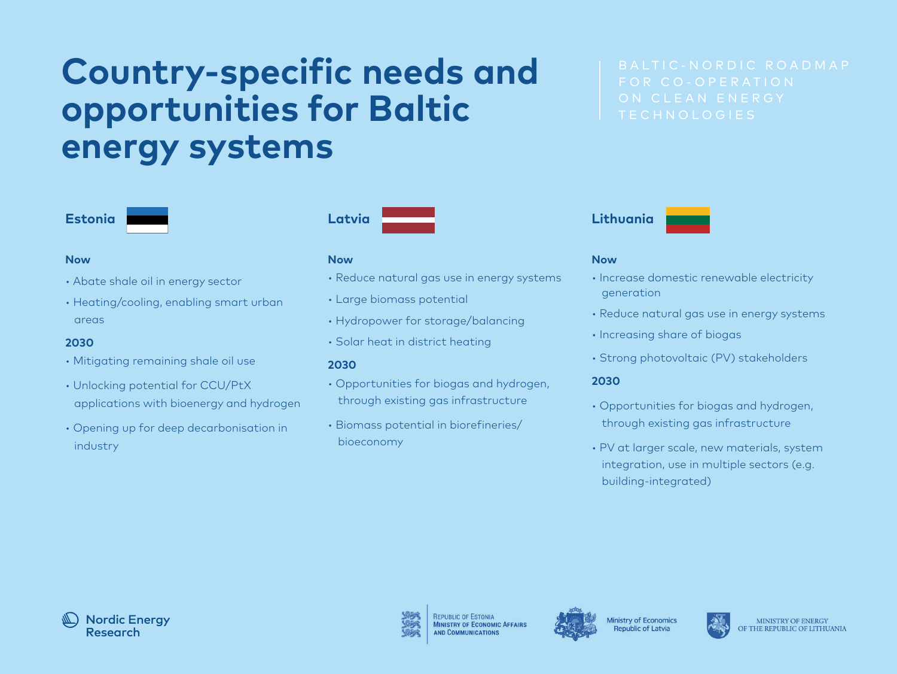# **Country-specific needs and opportunities for Baltic energy systems**





#### **Now**

- Abate shale oil in energy sector
- Heating/cooling, enabling smart urban areas

#### **2030**

- Mitigating remaining shale oil use
- Unlocking potential for CCU/PtX applications with bioenergy and hydrogen
- Opening up for deep decarbonisation in industry

#### **Now**

- Reduce natural gas use in energy systems
- Large biomass potential
- Hydropower for storage/balancing
- Solar heat in district heating

#### **2030**

- Opportunities for biogas and hydrogen, through existing gas infrastructure
- Biomass potential in biorefineries/ bioeconomy





#### **Now**

- Increase domestic renewable electricity generation
- Reduce natural gas use in energy systems
- Increasing share of biogas
- Strong photovoltaic (PV) stakeholders

#### **2030**

- Opportunities for biogas and hydrogen, through existing gas infrastructure
- PV at larger scale, new materials, system integration, use in multiple sectors (e.g. building-integrated)





**REPUBLIC OF ESTONIA MINISTRY OF ECONOMIC AFFAIRS** 





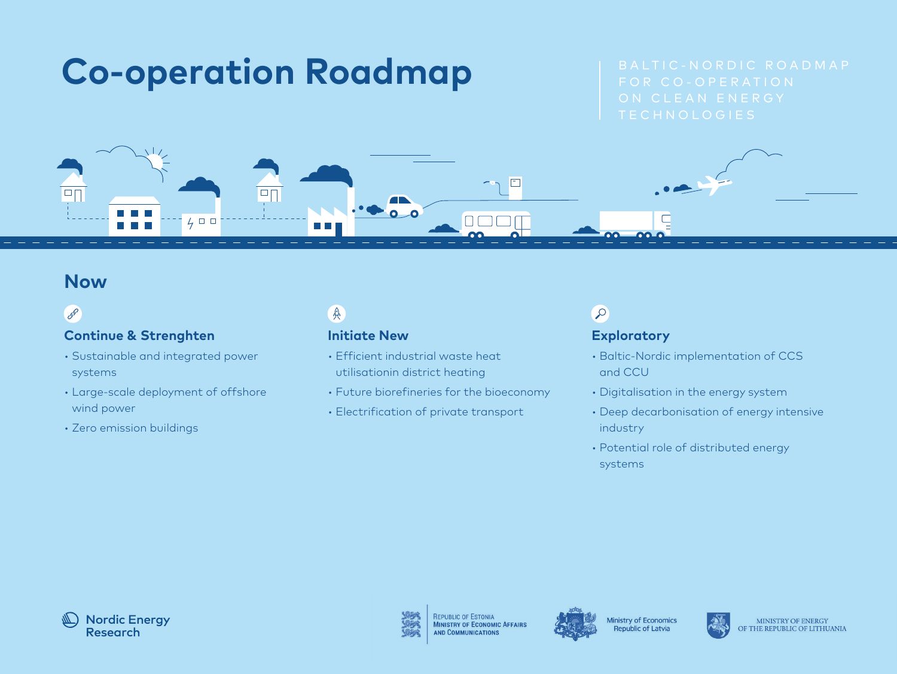

 $\boxed{\Box}$ 



## 600

 $\overline{\blacksquare}$ 

#### **Continue & Strenghten**

• Sustainable and integrated power systems

 $\overline{\Lambda}L$ 

 $400$ 

- Large-scale deployment of offshore wind power
- Zero emission buildings

# $\mathbb{A}$

#### **Initiate New**

• Efficient industrial waste heat utilisationin district heating

 $\sim$   $\sim$ 

• Future biorefineries for the bioeconomy<br>———————————————————

 $\Box$ 

**nm** 

• Electrification of private transport

# $\circ$

#### **Exploratory**

- Baltic-Nordic implementation of CCS and CCU
- Digitalisation in the energy system
- Deep decarbonisation of energy intensive industry
- Potential role of distributed energy systems





**REPUBLIC OF ESTONIA MINISTRY OF ECONOMIC AFFAIRS** AND COMMUNICATIONS



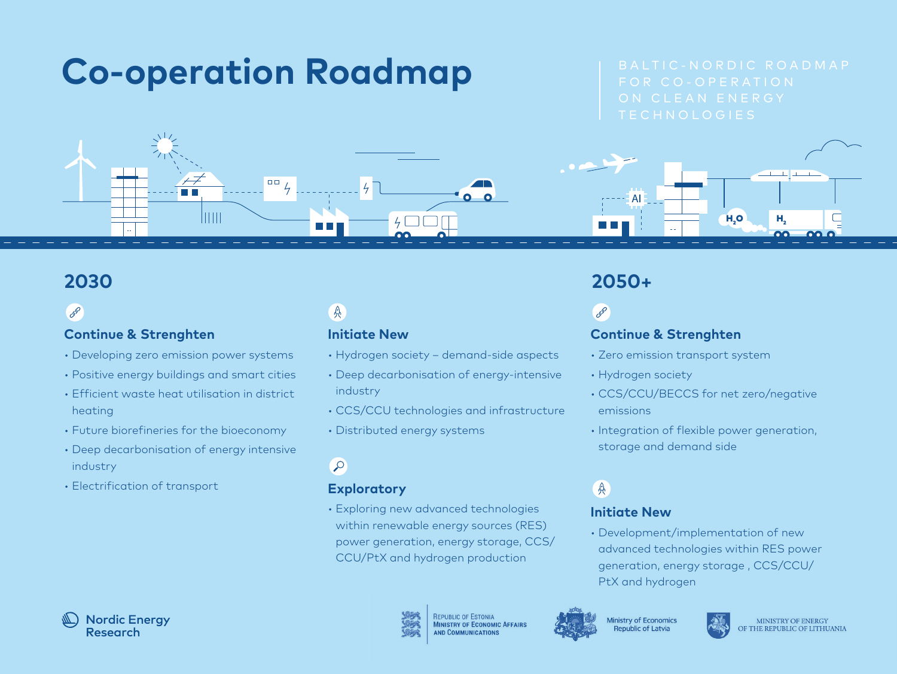# **Co-operation Roadmap**

H<sub>2</sub>O

man bi



## 600

#### **Continue & Strenghten**

- Developing zero emission power systems
- Positive energy buildings and smart cities
- Efficient waste heat utilisation in district heating
- Future biorefineries for the bioeconomy
- Deep decarbonisation of energy intensive industry
- Electrification of transport

# 具

### **Initiate New**

- Hydrogen society demand-side aspects
- Deep decarbonisation of energy-intensive industry
- CCS/CCU technologies and infrastructure
- Distributed energy systems

## $\circ$

### **Exploratory**

• Exploring new advanced technologies within renewable energy sources (RES) power generation, energy storage, CCS/ CCU/PtX and hydrogen production

REPUBLIC OF ESTONIA **MINISTRY OF ECONOMIC AFFAIRS AND COMMUNICATION** 



#### Ministry of Economics **Republic of Latvia**



## **2030 2050+**

 $\overline{A}$   $\overline{A}$ 

# 600

### **Continue & Strenghten**

- Zero emission transport system
- Hydrogen society
- CCS/CCU/BECCS for net zero/negative emissions
- Integration of flexible power generation, storage and demand side

# 兵

### **Initiate New**

• Development/implementation of new advanced technologies within RES power generation, energy storage , CCS/CCU/ PtX and hydrogen